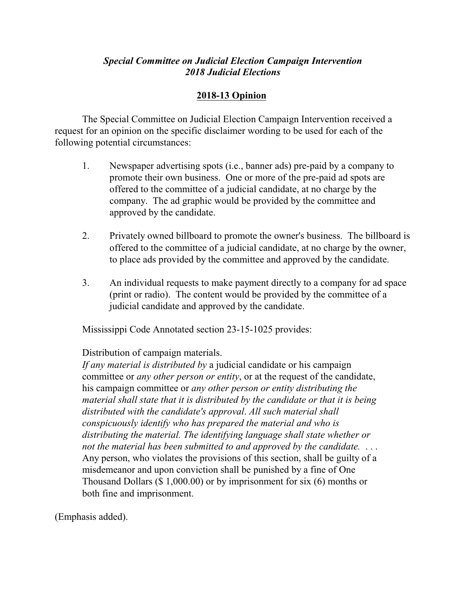## *Special Committee on Judicial Election Campaign Intervention 2018 Judicial Elections*

## **2018-13 Opinion**

The Special Committee on Judicial Election Campaign Intervention received a request for an opinion on the specific disclaimer wording to be used for each of the following potential circumstances:

- 1. Newspaper advertising spots (i.e., banner ads) pre-paid by a company to promote their own business. One or more of the pre-paid ad spots are offered to the committee of a judicial candidate, at no charge by the company. The ad graphic would be provided by the committee and approved by the candidate.
- 2. Privately owned billboard to promote the owner's business. The billboard is offered to the committee of a judicial candidate, at no charge by the owner, to place ads provided by the committee and approved by the candidate.
- 3. An individual requests to make payment directly to a company for ad space (print or radio). The content would be provided by the committee of a judicial candidate and approved by the candidate.

Mississippi Code Annotated section 23-15-1025 provides:

Distribution of campaign materials.

*If any material is distributed by* a judicial candidate or his campaign committee or *any other person or entity*, or at the request of the candidate, his campaign committee or *any other person or entity distributing the material shall state that it is distributed by the candidate or that it is being distributed with the candidate's approval*. *All such material shall conspicuously identify who has prepared the material and who is distributing the material. The identifying language shall state whether or not the material has been submitted to and approved by the candidate.* . . . Any person, who violates the provisions of this section, shall be guilty of a misdemeanor and upon conviction shall be punished by a fine of One Thousand Dollars (\$ 1,000.00) or by imprisonment for six (6) months or both fine and imprisonment.

(Emphasis added).